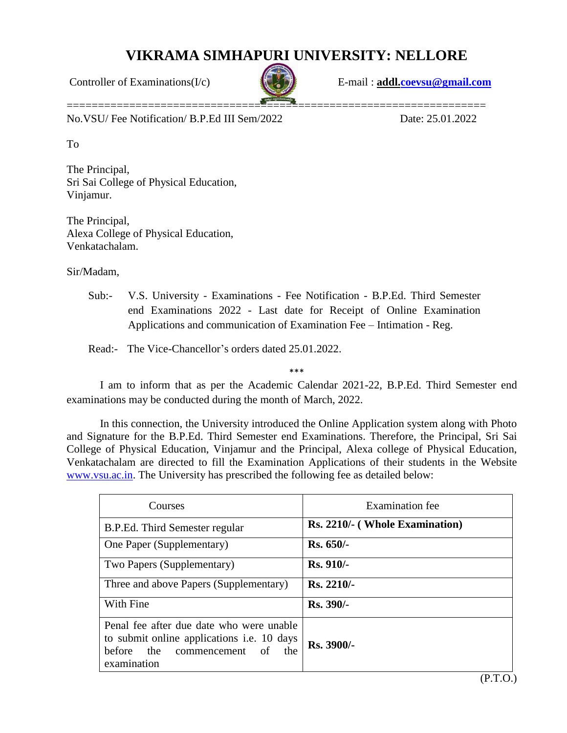## **VIKRAMA SIMHAPURI UNIVERSITY: NELLORE**



Controller of Examinations(I/c) E-mail : **addl[.coevsu@gmail.com](mailto:coevsu@gmail.com)**

No.VSU/ Fee Notification/ B.P.Ed III Sem/2022 Date: 25.01.2022

To

The Principal, Sri Sai College of Physical Education, Vinjamur.

The Principal, Alexa College of Physical Education, Venkatachalam.

Sir/Madam,

Sub:- V.S. University - Examinations - Fee Notification - B.P.Ed. Third Semester end Examinations 2022 - Last date for Receipt of Online Examination Applications and communication of Examination Fee – Intimation - Reg.

Read:- The Vice-Chancellor's orders dated 25.01.2022.

\*\*\*

I am to inform that as per the Academic Calendar 2021-22, B.P.Ed. Third Semester end examinations may be conducted during the month of March, 2022.

In this connection, the University introduced the Online Application system along with Photo and Signature for the B.P.Ed. Third Semester end Examinations. Therefore, the Principal, Sri Sai College of Physical Education, Vinjamur and the Principal, Alexa college of Physical Education, Venkatachalam are directed to fill the Examination Applications of their students in the Website [www.vsu.ac.in.](http://www.vsu.ac.in/) The University has prescribed the following fee as detailed below:

| Courses                                                                                                                                           | Examination fee                |
|---------------------------------------------------------------------------------------------------------------------------------------------------|--------------------------------|
| B.P.Ed. Third Semester regular                                                                                                                    | Rs. 2210/- (Whole Examination) |
| One Paper (Supplementary)                                                                                                                         | $Rs. 650/-$                    |
| Two Papers (Supplementary)                                                                                                                        | $Rs. 910/-$                    |
| Three and above Papers (Supplementary)                                                                                                            | $Rs. 2210/-$                   |
| With Fine                                                                                                                                         | <b>Rs. 390/-</b>               |
| Penal fee after due date who were unable<br>to submit online applications <i>i.e.</i> 10 days<br>before the commencement of<br>the<br>examination | $Rs. 3900/-$                   |

(P.T.O.)